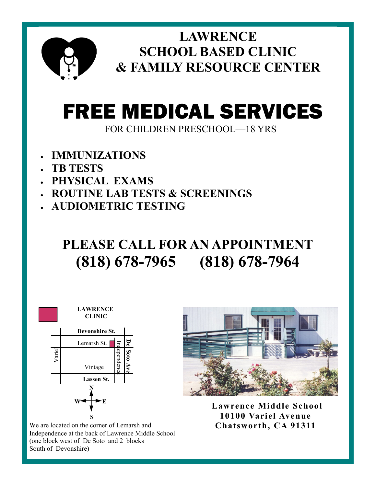

**LAWRENCE! SCHOOL BASED CLINIC &!FAMILY!RESOURCE!CENTER**

## FREE MEDICAL SERVICES

FOR CHILDREN PRESCHOOL-18 YRS

- <sup>x</sup> **IMMUNIZATIONS**
- <sup>x</sup> **TB!TESTS**
- <sup>x</sup> **PHYSICAL!!EXAMS**
- <sup>x</sup> **ROUTINE!LAB!TESTS!&!SCREENINGS**
- <sup>x</sup> **AUDIOMETRIC!TESTING**

## PLEASE CALL FOR AN APPOINTMENT (818) 678-7965 (818) 678-7964



We are located on the corner of Lemarsh and Independence at the back of Lawrence Middle School (one block west of De Soto and 2 blocks South of Devonshire)



Lawrence Middle School **10100 Variel Avenue Chatsworth,!CA!91311**